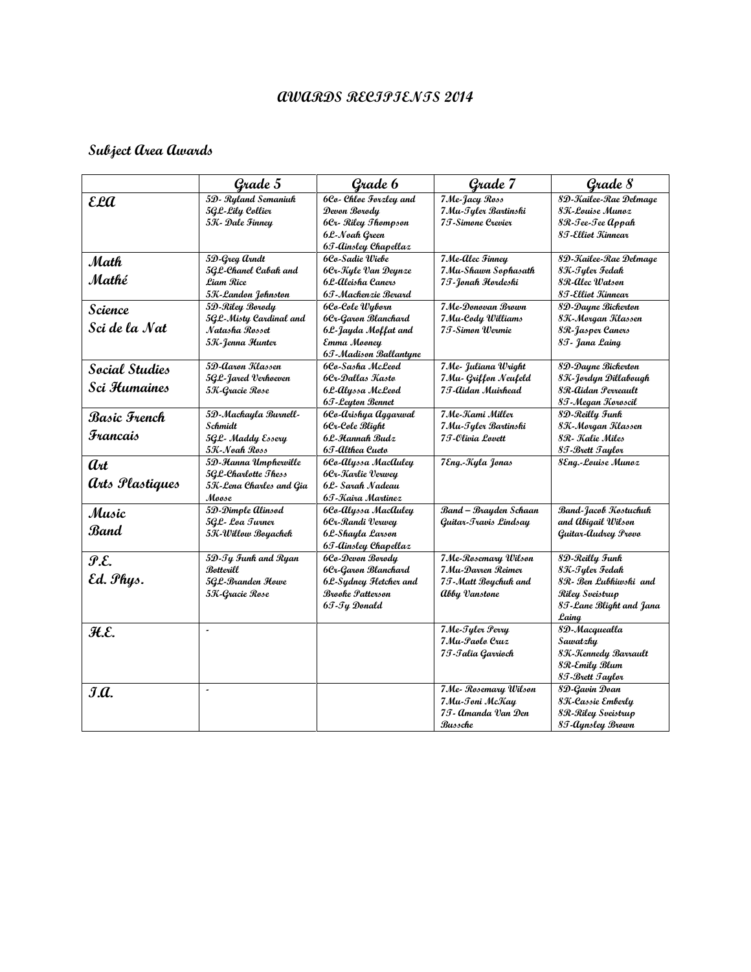## **AWARDS RECIPIENTS 2014**

## **Subject Area Awards**

|                                         | Grade 5                                                                        | Grade 6                                                                                                      | Grade 7                                                                           | Grade 8                                                                                                          |
|-----------------------------------------|--------------------------------------------------------------------------------|--------------------------------------------------------------------------------------------------------------|-----------------------------------------------------------------------------------|------------------------------------------------------------------------------------------------------------------|
| <b>ELA</b>                              | 5D- Ryland Semaniuk<br>5GL-Lily Collier<br>5K - Dale Finney                    | 6Co- Chloe Forzley and<br>Devon Borody<br>6Cr- Riley Thompson<br>6L-Noah Green<br>65-Ainsley Chapellaz       | 7 Me-Jacy Ross<br>7 Mu-Tyler Bartinski<br>7 T-Simone Crevier                      | 8D-Kailee-Rae Delmage<br>8K-Louise Munoz<br>8R-Tee-Tee Appah<br>8 T-Elliot Kinnear                               |
| Math<br>Mathé                           | 5D-Greg arndt<br>5G.L-Chanel Cabak and<br>Liam Rice<br>5K-Landon Johnston      | 6Co-Sadie Wiebe<br>6Cr-Kule Van Deunze<br>6L-Aleisha Caners<br>6T-Mackenzie Berard                           | 7 Me-Alec Finney<br>7 Mu-Shawn Sophasath<br>7I-Jonah Hordeski                     | 8D-Kailee-Rae Delmage<br>8K-Tyler Fedak<br>8R-Alec Watson<br>8T-Elliot Kinnear                                   |
| <b>Science</b><br>Sci de la Nat         | 5D-Riley Borody<br>5GL-Misty Cardinal and<br>Natasha Rosset<br>5K-Jenna Hunter | 6Co-Cole Wyborn<br>6Cr-Garon Blanchard<br>6L-Jayda Moffat and<br>Emma Mooney<br>6J - Madison Ballantyne      | 7 Me-Donovan Brown<br>7 Mu-Cody Williams<br>7T-Simon Wermie                       | 8D-Dayne Bickerton<br>8K-Morgan Klassen<br>8R-Jasper Caners<br>8T - Jana Laing                                   |
| <b>Social Studies</b><br>Sci Humaines   | 5D-Aaron Klassen<br>5GL-Jared Verhoeven<br>5K-Gracie Rose                      | 6Co-Sasha McLeod<br>6Cr-Dallas Kasto<br>6L-Alyssa McLeod<br>65-Leyton Bennet                                 | 7 Me- Juliana Wright<br>7 Mu- Griffon Neufeld<br>7 T-Aidan Muirhead               | 8D-Dayne Bickerton<br>8K-Jordyn Dillabough<br>8R-Aidan Perreault<br>8J-Megan Koroscil                            |
| Basic French<br>Francais                | 5D-Mackayla Burnell-<br>Schmidt<br>5GL- Maddy Essery<br>5K-Noah Ross           | 6Co-Arishya Aggarwal<br>6Cr-Cole Blight<br>6L-Hannah Budz<br>6T-Althea Cueto                                 | 7 Me-Kami Miller<br>7 Mu-Tyler Bartinski<br>7 J-Olivia Lovett                     | 8D-Reilly Funk<br>8K-Morgan Klassen<br>8R - Kalie Miles<br>8J-Brett Jaylor                                       |
| art<br><i>arts Plastiques</i>           | 5D-Hanna Umphewille<br>5GL-Charlotte Thess<br>5K-Lena Charles and Gia<br>Moose | 6Co-Alyssa MacAuley<br>6Cr-Karlie Verwey<br>6L- Sarah Nadeau<br>6T-Kaira Martinez                            | 7Eng.-Kyla Jonas                                                                  | <b>8Eng.-Louise Munoz</b>                                                                                        |
| Music<br>Band                           | 5D-Dimple Alinsod<br>5GL- Loa Turner<br>5K-Willow Boyachek                     | 6Co-Alyssa MacAuley<br>6Cr-Randi Verwey<br>6L-Shayla Larson<br>65-Ainsley Chapellaz                          | Band - Brayden Schaan<br>Guitar-Travis Lindsay                                    | Band-Jacob Kostuchuk<br>and Abigail Wilson<br>Guitar-Audrey Provo                                                |
| $\mathcal{P}.\mathcal{E}.$<br>Ed. Phys. | 5D-Ty Funk and Ryan<br>Botterill<br>5GL-Branden Howe<br>5K-Gracie Rose         | 6Co-Devon Borody<br>6Cr-Garon Blanchard<br>6L-Sydney Fletcher and<br><b>Brooke Patterson</b><br>6T-Ty Donald | 7Me-Rosemary Wilson<br>7 Mu-Darren Reimer<br>7T-Matt Boychuk and<br>Abby Vanstone | 8D-Reilly Funk<br>8K-Tyler Fedak<br>8R- Ben Lubkiwski and<br>Riley Sveistrup<br>8T-Lane Blight and Jana<br>Laing |
| H.E.                                    | $\overline{a}$                                                                 |                                                                                                              | 7 Me-Tyler Perry<br>7 Mu-Paolo Cruz<br>7I-Talia Garrioch                          | 8D-Macquealla<br>Sawatzky<br>8K-Kennedy Bavrault<br>8R-Emily Blum<br>8J-Brett Jaylor                             |
| $\mathcal{J}.\mathcal{Q}.$              | $\overline{a}$                                                                 |                                                                                                              | 7 Me- Rosemary Wilson<br>7 Mu-Toni McKay<br>7I - Amanda Van Den<br>Bussche        | 8D-Gavin Doan<br>8K-Cassie Emberly<br>8R-Riley Sveistrup<br>8J-Aynsley Brown                                     |